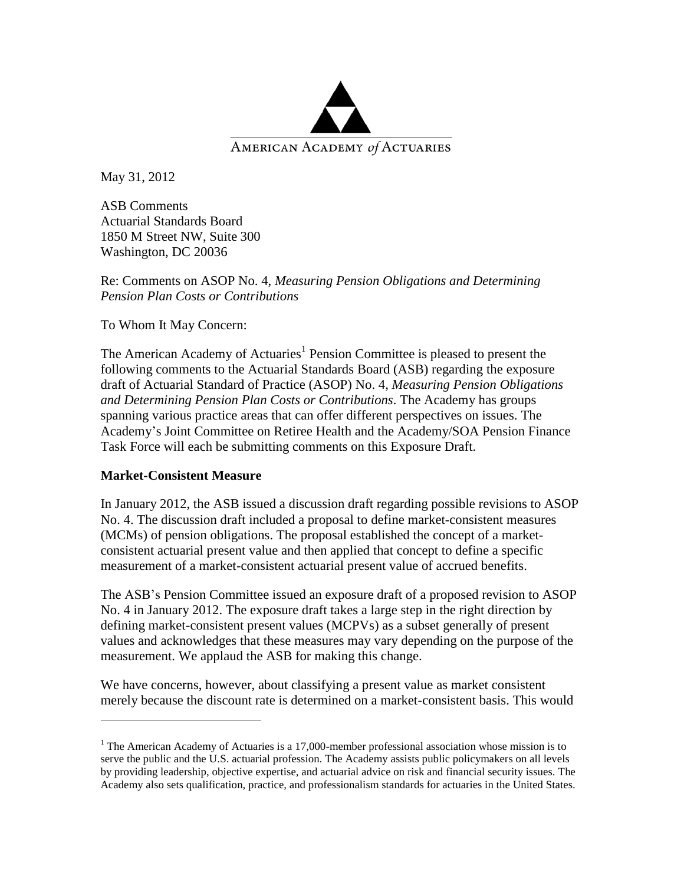

May 31, 2012

ASB Comments Actuarial Standards Board 1850 M Street NW, Suite 300 Washington, DC 20036

Re: Comments on ASOP No. 4, *Measuring Pension Obligations and Determining Pension Plan Costs or Contributions*

To Whom It May Concern:

The American Academy of Actuaries<sup>1</sup> Pension Committee is pleased to present the following comments to the Actuarial Standards Board (ASB) regarding the exposure draft of Actuarial Standard of Practice (ASOP) No. 4, *Measuring Pension Obligations and Determining Pension Plan Costs or Contributions*. The Academy has groups spanning various practice areas that can offer different perspectives on issues. The Academy's Joint Committee on Retiree Health and the Academy/SOA Pension Finance Task Force will each be submitting comments on this Exposure Draft.

## **Market-Consistent Measure**

 $\overline{a}$ 

In January 2012, the ASB issued a discussion draft regarding possible revisions to ASOP No. 4. The discussion draft included a proposal to define market-consistent measures (MCMs) of pension obligations. The proposal established the concept of a marketconsistent actuarial present value and then applied that concept to define a specific measurement of a market-consistent actuarial present value of accrued benefits.

The ASB's Pension Committee issued an exposure draft of a proposed revision to ASOP No. 4 in January 2012. The exposure draft takes a large step in the right direction by defining market-consistent present values (MCPVs) as a subset generally of present values and acknowledges that these measures may vary depending on the purpose of the measurement. We applaud the ASB for making this change.

We have concerns, however, about classifying a present value as market consistent merely because the discount rate is determined on a market-consistent basis. This would

<sup>&</sup>lt;sup>1</sup> The American Academy of Actuaries is a 17,000-member professional association whose mission is to serve the public and the U.S. actuarial profession. The Academy assists public policymakers on all levels by providing leadership, objective expertise, and actuarial advice on risk and financial security issues. The Academy also sets qualification, practice, and professionalism standards for actuaries in the United States.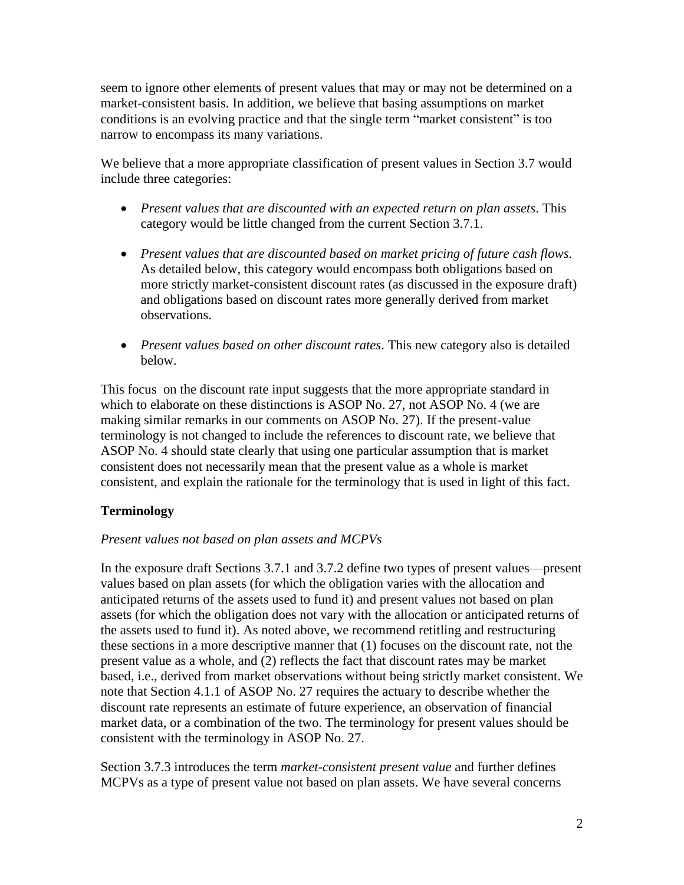seem to ignore other elements of present values that may or may not be determined on a market-consistent basis. In addition, we believe that basing assumptions on market conditions is an evolving practice and that the single term "market consistent" is too narrow to encompass its many variations.

We believe that a more appropriate classification of present values in Section 3.7 would include three categories:

- *Present values that are discounted with an expected return on plan assets*. This category would be little changed from the current Section 3.7.1.
- *Present values that are discounted based on market pricing of future cash flows.* As detailed below, this category would encompass both obligations based on more strictly market-consistent discount rates (as discussed in the exposure draft) and obligations based on discount rates more generally derived from market observations.
- *Present values based on other discount rates*. This new category also is detailed below.

This focus on the discount rate input suggests that the more appropriate standard in which to elaborate on these distinctions is ASOP No. 27, not ASOP No. 4 (we are making similar remarks in our comments on ASOP No. 27). If the present-value terminology is not changed to include the references to discount rate, we believe that ASOP No. 4 should state clearly that using one particular assumption that is market consistent does not necessarily mean that the present value as a whole is market consistent, and explain the rationale for the terminology that is used in light of this fact.

# **Terminology**

## *Present values not based on plan assets and MCPVs*

In the exposure draft Sections 3.7.1 and 3.7.2 define two types of present values—present values based on plan assets (for which the obligation varies with the allocation and anticipated returns of the assets used to fund it) and present values not based on plan assets (for which the obligation does not vary with the allocation or anticipated returns of the assets used to fund it). As noted above, we recommend retitling and restructuring these sections in a more descriptive manner that (1) focuses on the discount rate, not the present value as a whole, and (2) reflects the fact that discount rates may be market based, i.e., derived from market observations without being strictly market consistent. We note that Section 4.1.1 of ASOP No. 27 requires the actuary to describe whether the discount rate represents an estimate of future experience, an observation of financial market data, or a combination of the two. The terminology for present values should be consistent with the terminology in ASOP No. 27.

Section 3.7.3 introduces the term *market-consistent present value* and further defines MCPVs as a type of present value not based on plan assets. We have several concerns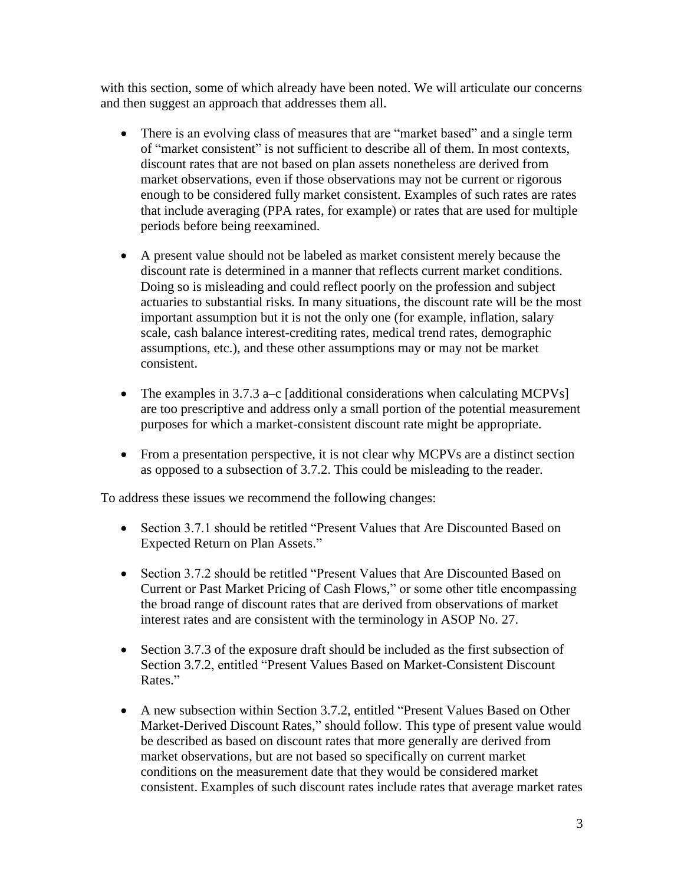with this section, some of which already have been noted. We will articulate our concerns and then suggest an approach that addresses them all.

- There is an evolving class of measures that are "market based" and a single term of "market consistent" is not sufficient to describe all of them. In most contexts, discount rates that are not based on plan assets nonetheless are derived from market observations, even if those observations may not be current or rigorous enough to be considered fully market consistent. Examples of such rates are rates that include averaging (PPA rates, for example) or rates that are used for multiple periods before being reexamined.
- A present value should not be labeled as market consistent merely because the discount rate is determined in a manner that reflects current market conditions. Doing so is misleading and could reflect poorly on the profession and subject actuaries to substantial risks. In many situations, the discount rate will be the most important assumption but it is not the only one (for example, inflation, salary scale, cash balance interest-crediting rates, medical trend rates, demographic assumptions, etc.), and these other assumptions may or may not be market consistent.
- The examples in 3.7.3 a–c [additional considerations when calculating MCPVs] are too prescriptive and address only a small portion of the potential measurement purposes for which a market-consistent discount rate might be appropriate.
- From a presentation perspective, it is not clear why MCPVs are a distinct section as opposed to a subsection of 3.7.2. This could be misleading to the reader.

To address these issues we recommend the following changes:

- Section 3.7.1 should be retitled "Present Values that Are Discounted Based on Expected Return on Plan Assets."
- Section 3.7.2 should be retitled "Present Values that Are Discounted Based on Current or Past Market Pricing of Cash Flows," or some other title encompassing the broad range of discount rates that are derived from observations of market interest rates and are consistent with the terminology in ASOP No. 27.
- Section 3.7.3 of the exposure draft should be included as the first subsection of Section 3.7.2, entitled "Present Values Based on Market-Consistent Discount Rates."
- A new subsection within Section 3.7.2, entitled "Present Values Based on Other Market-Derived Discount Rates," should follow. This type of present value would be described as based on discount rates that more generally are derived from market observations, but are not based so specifically on current market conditions on the measurement date that they would be considered market consistent. Examples of such discount rates include rates that average market rates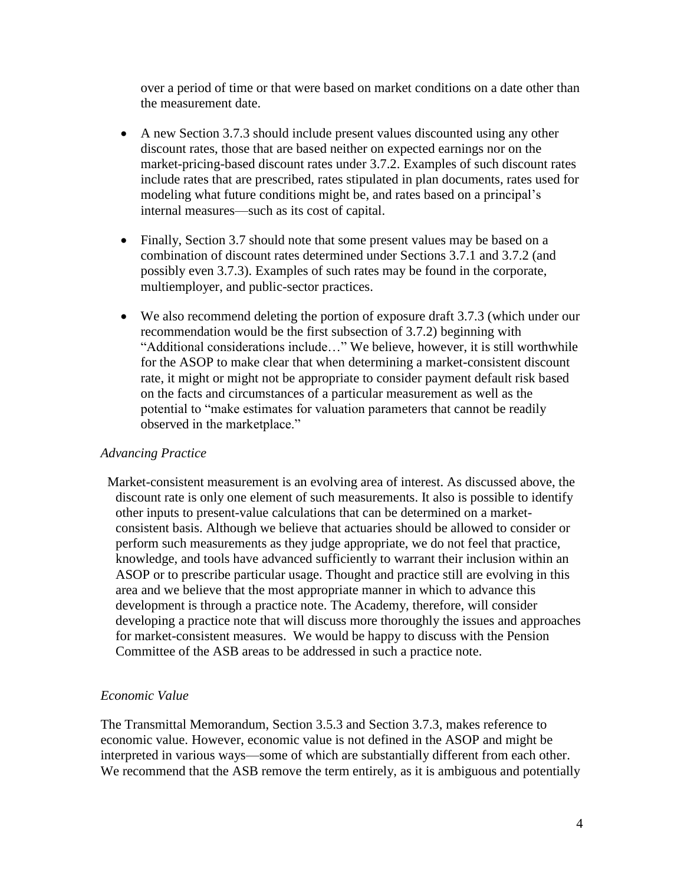over a period of time or that were based on market conditions on a date other than the measurement date.

- A new Section 3.7.3 should include present values discounted using any other discount rates, those that are based neither on expected earnings nor on the market-pricing-based discount rates under 3.7.2. Examples of such discount rates include rates that are prescribed, rates stipulated in plan documents, rates used for modeling what future conditions might be, and rates based on a principal's internal measures—such as its cost of capital.
- Finally, Section 3.7 should note that some present values may be based on a combination of discount rates determined under Sections 3.7.1 and 3.7.2 (and possibly even 3.7.3). Examples of such rates may be found in the corporate, multiemployer, and public-sector practices.
- We also recommend deleting the portion of exposure draft 3.7.3 (which under our recommendation would be the first subsection of 3.7.2) beginning with "Additional considerations include…" We believe, however, it is still worthwhile for the ASOP to make clear that when determining a market-consistent discount rate, it might or might not be appropriate to consider payment default risk based on the facts and circumstances of a particular measurement as well as the potential to "make estimates for valuation parameters that cannot be readily observed in the marketplace."

#### *Advancing Practice*

Market-consistent measurement is an evolving area of interest. As discussed above, the discount rate is only one element of such measurements. It also is possible to identify other inputs to present-value calculations that can be determined on a marketconsistent basis. Although we believe that actuaries should be allowed to consider or perform such measurements as they judge appropriate, we do not feel that practice, knowledge, and tools have advanced sufficiently to warrant their inclusion within an ASOP or to prescribe particular usage. Thought and practice still are evolving in this area and we believe that the most appropriate manner in which to advance this development is through a practice note. The Academy, therefore, will consider developing a practice note that will discuss more thoroughly the issues and approaches for market-consistent measures. We would be happy to discuss with the Pension Committee of the ASB areas to be addressed in such a practice note.

## *Economic Value*

The Transmittal Memorandum, Section 3.5.3 and Section 3.7.3, makes reference to economic value. However, economic value is not defined in the ASOP and might be interpreted in various ways—some of which are substantially different from each other. We recommend that the ASB remove the term entirely, as it is ambiguous and potentially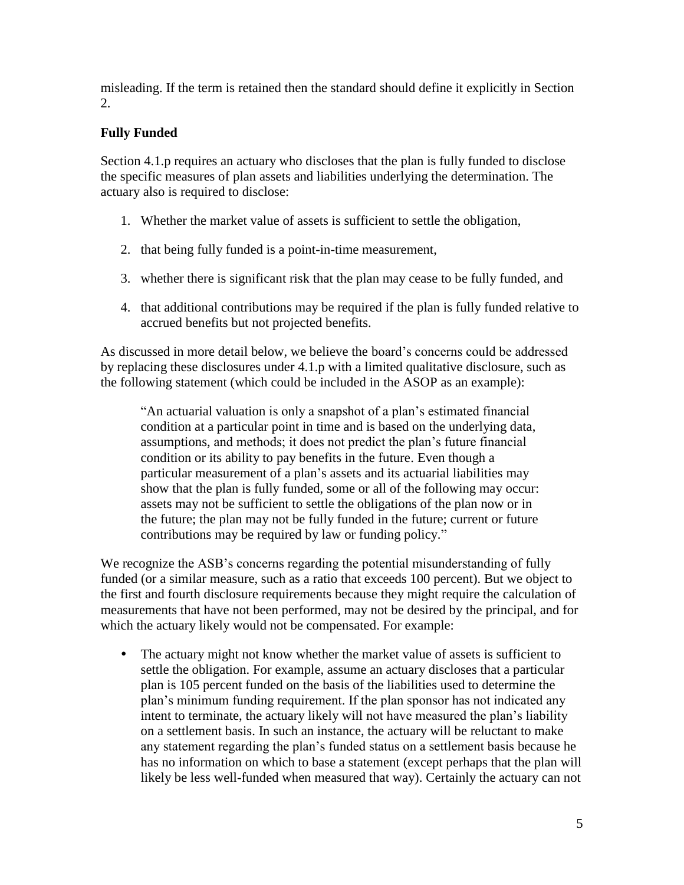misleading. If the term is retained then the standard should define it explicitly in Section 2.

# **Fully Funded**

Section 4.1.p requires an actuary who discloses that the plan is fully funded to disclose the specific measures of plan assets and liabilities underlying the determination. The actuary also is required to disclose:

- 1. Whether the market value of assets is sufficient to settle the obligation,
- 2. that being fully funded is a point-in-time measurement,
- 3. whether there is significant risk that the plan may cease to be fully funded, and
- 4. that additional contributions may be required if the plan is fully funded relative to accrued benefits but not projected benefits.

As discussed in more detail below, we believe the board's concerns could be addressed by replacing these disclosures under 4.1.p with a limited qualitative disclosure, such as the following statement (which could be included in the ASOP as an example):

"An actuarial valuation is only a snapshot of a plan's estimated financial condition at a particular point in time and is based on the underlying data, assumptions, and methods; it does not predict the plan's future financial condition or its ability to pay benefits in the future. Even though a particular measurement of a plan's assets and its actuarial liabilities may show that the plan is fully funded, some or all of the following may occur: assets may not be sufficient to settle the obligations of the plan now or in the future; the plan may not be fully funded in the future; current or future contributions may be required by law or funding policy."

We recognize the ASB's concerns regarding the potential misunderstanding of fully funded (or a similar measure, such as a ratio that exceeds 100 percent). But we object to the first and fourth disclosure requirements because they might require the calculation of measurements that have not been performed, may not be desired by the principal, and for which the actuary likely would not be compensated. For example:

 The actuary might not know whether the market value of assets is sufficient to settle the obligation. For example, assume an actuary discloses that a particular plan is 105 percent funded on the basis of the liabilities used to determine the plan's minimum funding requirement. If the plan sponsor has not indicated any intent to terminate, the actuary likely will not have measured the plan's liability on a settlement basis. In such an instance, the actuary will be reluctant to make any statement regarding the plan's funded status on a settlement basis because he has no information on which to base a statement (except perhaps that the plan will likely be less well-funded when measured that way). Certainly the actuary can not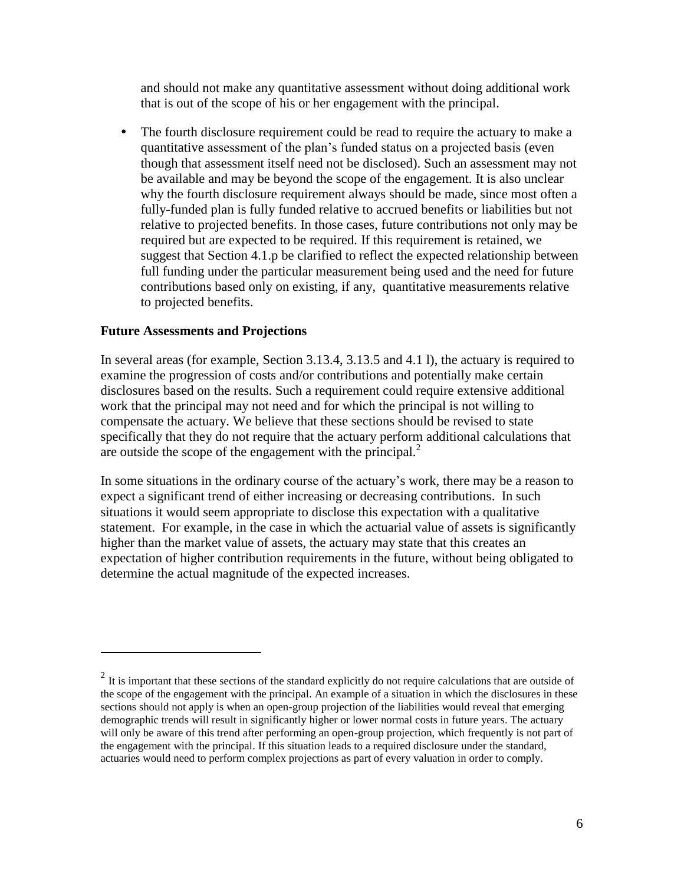and should not make any quantitative assessment without doing additional work that is out of the scope of his or her engagement with the principal.

 The fourth disclosure requirement could be read to require the actuary to make a quantitative assessment of the plan's funded status on a projected basis (even though that assessment itself need not be disclosed). Such an assessment may not be available and may be beyond the scope of the engagement. It is also unclear why the fourth disclosure requirement always should be made, since most often a fully-funded plan is fully funded relative to accrued benefits or liabilities but not relative to projected benefits. In those cases, future contributions not only may be required but are expected to be required. If this requirement is retained, we suggest that Section 4.1.p be clarified to reflect the expected relationship between full funding under the particular measurement being used and the need for future contributions based only on existing, if any, quantitative measurements relative to projected benefits.

### **Future Assessments and Projections**

 $\overline{a}$ 

In several areas (for example, Section 3.13.4, 3.13.5 and 4.1 l), the actuary is required to examine the progression of costs and/or contributions and potentially make certain disclosures based on the results. Such a requirement could require extensive additional work that the principal may not need and for which the principal is not willing to compensate the actuary. We believe that these sections should be revised to state specifically that they do not require that the actuary perform additional calculations that are outside the scope of the engagement with the principal. $2^2$ 

In some situations in the ordinary course of the actuary's work, there may be a reason to expect a significant trend of either increasing or decreasing contributions. In such situations it would seem appropriate to disclose this expectation with a qualitative statement. For example, in the case in which the actuarial value of assets is significantly higher than the market value of assets, the actuary may state that this creates an expectation of higher contribution requirements in the future, without being obligated to determine the actual magnitude of the expected increases.

 $2<sup>2</sup>$  It is important that these sections of the standard explicitly do not require calculations that are outside of the scope of the engagement with the principal. An example of a situation in which the disclosures in these sections should not apply is when an open-group projection of the liabilities would reveal that emerging demographic trends will result in significantly higher or lower normal costs in future years. The actuary will only be aware of this trend after performing an open-group projection, which frequently is not part of the engagement with the principal. If this situation leads to a required disclosure under the standard, actuaries would need to perform complex projections as part of every valuation in order to comply.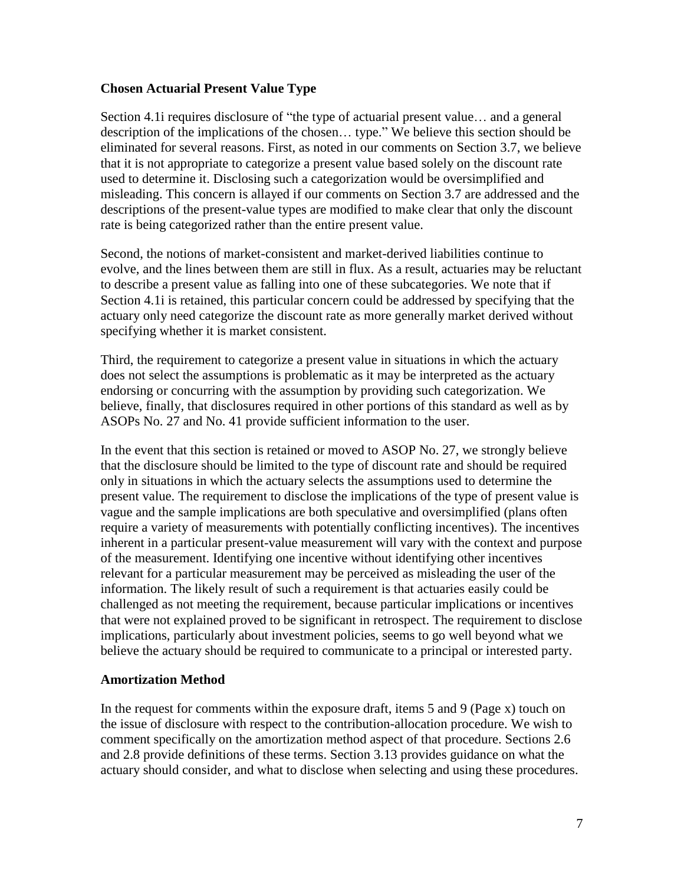#### **Chosen Actuarial Present Value Type**

Section 4.1i requires disclosure of "the type of actuarial present value… and a general description of the implications of the chosen… type." We believe this section should be eliminated for several reasons. First, as noted in our comments on Section 3.7, we believe that it is not appropriate to categorize a present value based solely on the discount rate used to determine it. Disclosing such a categorization would be oversimplified and misleading. This concern is allayed if our comments on Section 3.7 are addressed and the descriptions of the present-value types are modified to make clear that only the discount rate is being categorized rather than the entire present value.

Second, the notions of market-consistent and market-derived liabilities continue to evolve, and the lines between them are still in flux. As a result, actuaries may be reluctant to describe a present value as falling into one of these subcategories. We note that if Section 4.1i is retained, this particular concern could be addressed by specifying that the actuary only need categorize the discount rate as more generally market derived without specifying whether it is market consistent.

Third, the requirement to categorize a present value in situations in which the actuary does not select the assumptions is problematic as it may be interpreted as the actuary endorsing or concurring with the assumption by providing such categorization. We believe, finally, that disclosures required in other portions of this standard as well as by ASOPs No. 27 and No. 41 provide sufficient information to the user.

In the event that this section is retained or moved to ASOP No. 27, we strongly believe that the disclosure should be limited to the type of discount rate and should be required only in situations in which the actuary selects the assumptions used to determine the present value. The requirement to disclose the implications of the type of present value is vague and the sample implications are both speculative and oversimplified (plans often require a variety of measurements with potentially conflicting incentives). The incentives inherent in a particular present-value measurement will vary with the context and purpose of the measurement. Identifying one incentive without identifying other incentives relevant for a particular measurement may be perceived as misleading the user of the information. The likely result of such a requirement is that actuaries easily could be challenged as not meeting the requirement, because particular implications or incentives that were not explained proved to be significant in retrospect. The requirement to disclose implications, particularly about investment policies, seems to go well beyond what we believe the actuary should be required to communicate to a principal or interested party.

#### **Amortization Method**

In the request for comments within the exposure draft, items 5 and 9 (Page x) touch on the issue of disclosure with respect to the contribution-allocation procedure. We wish to comment specifically on the amortization method aspect of that procedure. Sections 2.6 and 2.8 provide definitions of these terms. Section 3.13 provides guidance on what the actuary should consider, and what to disclose when selecting and using these procedures.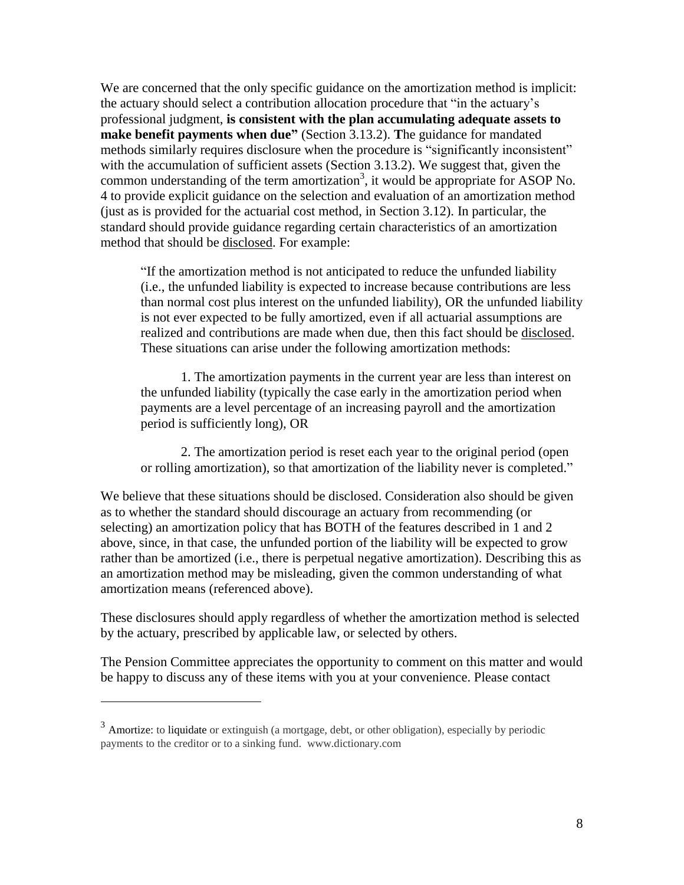We are concerned that the only specific guidance on the amortization method is implicit: the actuary should select a contribution allocation procedure that "in the actuary's professional judgment, **is consistent with the plan accumulating adequate assets to make benefit payments when due"** (Section 3.13.2). **T**he guidance for mandated methods similarly requires disclosure when the procedure is "significantly inconsistent" with the accumulation of sufficient assets (Section 3.13.2). We suggest that, given the common understanding of the term amortization<sup>3</sup>, it would be appropriate for ASOP No. 4 to provide explicit guidance on the selection and evaluation of an amortization method (just as is provided for the actuarial cost method, in Section 3.12). In particular, the standard should provide guidance regarding certain characteristics of an amortization method that should be disclosed. For example:

"If the amortization method is not anticipated to reduce the unfunded liability (i.e., the unfunded liability is expected to increase because contributions are less than normal cost plus interest on the unfunded liability), OR the unfunded liability is not ever expected to be fully amortized, even if all actuarial assumptions are realized and contributions are made when due, then this fact should be disclosed. These situations can arise under the following amortization methods:

1. The amortization payments in the current year are less than interest on the unfunded liability (typically the case early in the amortization period when payments are a level percentage of an increasing payroll and the amortization period is sufficiently long), OR

2. The amortization period is reset each year to the original period (open or rolling amortization), so that amortization of the liability never is completed."

We believe that these situations should be disclosed. Consideration also should be given as to whether the standard should discourage an actuary from recommending (or selecting) an amortization policy that has BOTH of the features described in 1 and 2 above, since, in that case, the unfunded portion of the liability will be expected to grow rather than be amortized (i.e., there is perpetual negative amortization). Describing this as an amortization method may be misleading, given the common understanding of what amortization means (referenced above).

These disclosures should apply regardless of whether the amortization method is selected by the actuary, prescribed by applicable law, or selected by others.

The Pension Committee appreciates the opportunity to comment on this matter and would be happy to discuss any of these items with you at your convenience. Please contact

 $\overline{a}$ 

 $3$  Amortize: to liquidate or extinguish (a mortgage, debt, or other obligation), especially by periodic payments to the creditor or to a sinking fund. www.dictionary.com